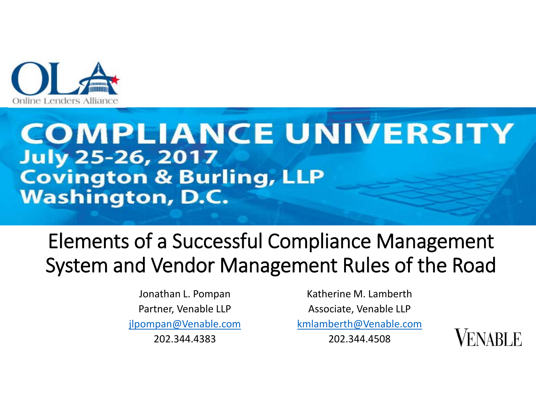

#### **COMPLIANCE UNIVERSITY July 25-26, 2017 Covington & Burling, LLP Washington, D.C.**

#### Elements of a Successful Compliance Management System and Vendor Management Rules of the Road

Jonathan L. Pompan Partner, Venable LLP jlpompan@Venable.com 202.344.4383

Katherine M. Lamberth Associate, Venable LLP kmlamberth@Venable.com

202.344.4508

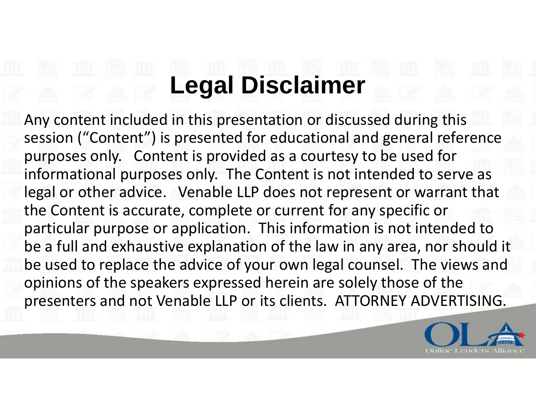# **Legal Disclaimer**

Any content included in this presentation or discussed during this session ("Content") is presented for educational and general reference purposes only. Content is provided as a courtesy to be used for informational purposes only. The Content is not intended to serve as legal or other advice. Venable LLP does not represent or warrant that the Content is accurate, complete or current for any specific or particular purpose or application. This information is not intended to be a full and exhaustive explanation of the law in any area, nor should it be used to replace the advice of your own legal counsel. The views and opinions of the speakers expressed herein are solely those of the presenters and not Venable LLP or its clients. ATTORNEY ADVERTISING.

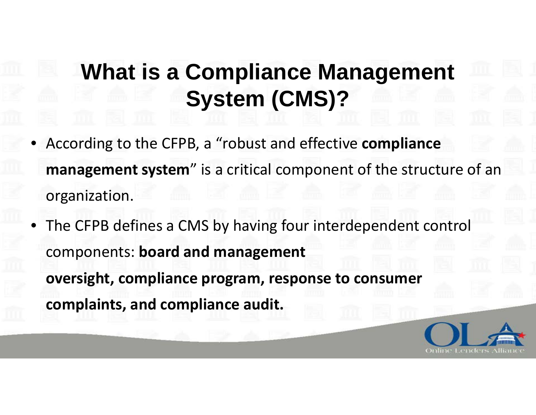### **What is a Compliance Management System (CMS)?**

- According to the CFPB, a "robust and effective **compliance management system**" is a critical component of the structure of an organization.
- The CFPB defines a CMS by having four interdependent control components: **board and management oversight, compliance program, response to consumer complaints, and compliance audit.**

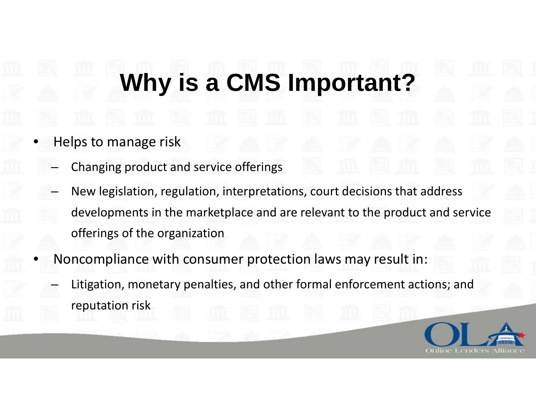## **Why is a CMS Important?**

- Helps to manage risk
	- Changing product and service offerings
	- New legislation, regulation, interpretations, court decisions that address developments in the marketplace and are relevant to the product and service offerings of the organization
	- Noncompliance with consumer protection laws may result in:
		- Litigation, monetary penalties, and other formal enforcement actions; and reputation risk

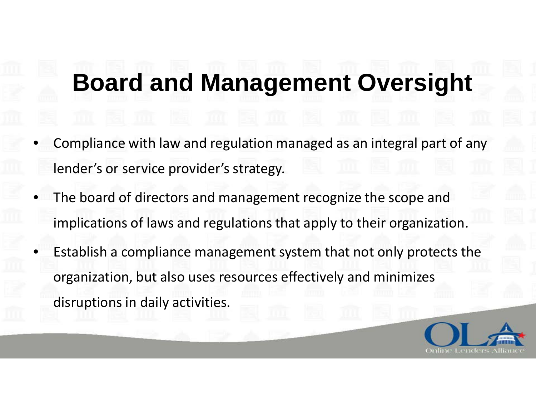## **Board and Management Oversight**

- Compliance with law and regulation managed as an integral part of any lender's or service provider's strategy.
- The board of directors and management recognize the scope and implications of laws and regulations that apply to their organization.
- Establish a compliance management system that not only protects the organization, but also uses resources effectively and minimizes disruptions in daily activities.

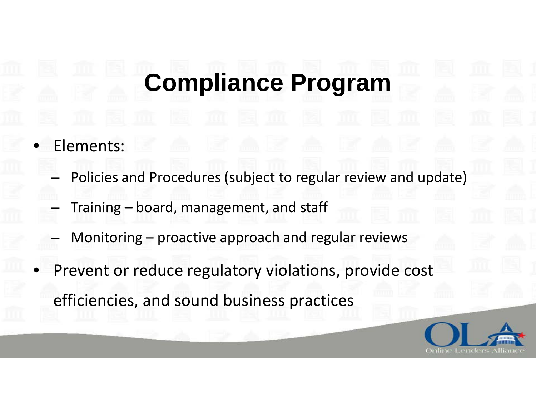### **Compliance Program**

- Elements:
	- Policies and Procedures (subject to regular review and update)
	- Training board, management, and staff
	- Monitoring proactive approach and regular reviews
- Prevent or reduce regulatory violations, provide cost efficiencies, and sound business practices

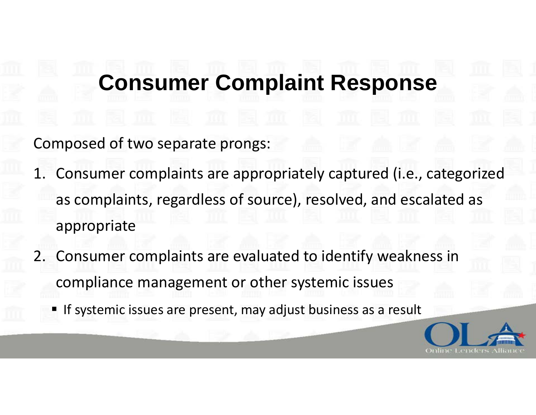#### **Consumer Complaint Response**

Composed of two separate prongs:

- 1. Consumer complaints are appropriately captured (i.e., categorized as complaints, regardless of source), resolved, and escalated as appropriate
- 2. Consumer complaints are evaluated to identify weakness in compliance management or other systemic issues
	- If systemic issues are present, may adjust business as a result

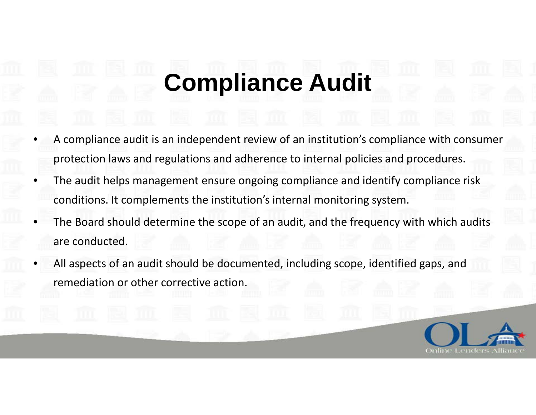# **Compliance Audit**

- A compliance audit is an independent review of an institution's compliance with consumer protection laws and regulations and adherence to internal policies and procedures.
- The audit helps management ensure ongoing compliance and identify compliance risk conditions. It complements the institution's internal monitoring system.
- The Board should determine the scope of an audit, and the frequency with which audits are conducted.
- All aspects of an audit should be documented, including scope, identified gaps, and remediation or other corrective action.

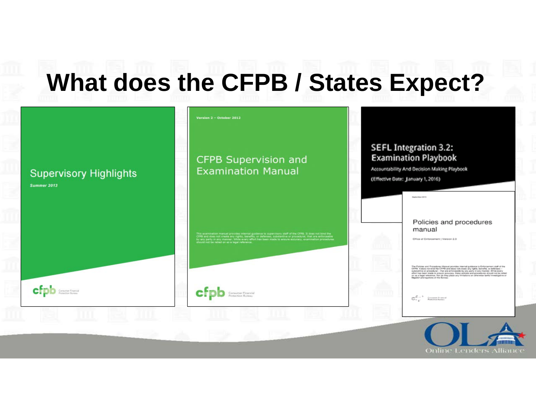## **What does the CFPB / States Expect?**

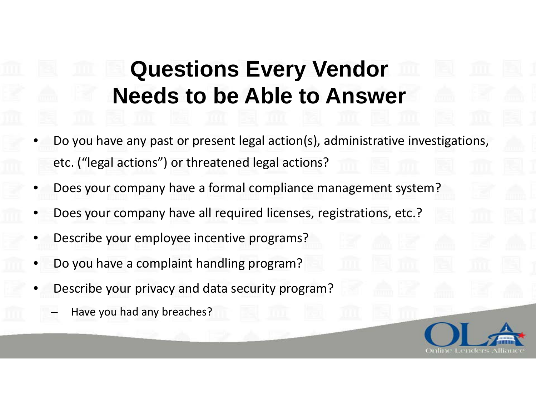#### **Questions Every Vendor Needs to be Able to Answer**

- Do you have any past or present legal action(s), administrative investigations, etc. ("legal actions") or threatened legal actions?
- Does your company have a formal compliance management system?
- Does your company have all required licenses, registrations, etc.?
- Describe your employee incentive programs?
- Do you have a complaint handling program?
- Describe your privacy and data security program?
	- Have you had any breaches?